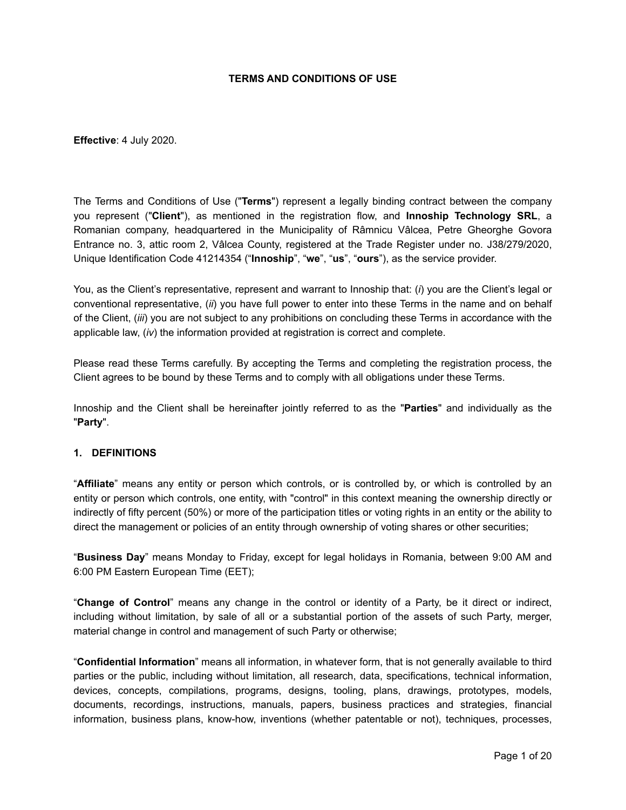#### **TERMS AND CONDITIONS OF USE**

**Effective**: 4 July 2020.

The Terms and Conditions of Use ("**Terms**") represent a legally binding contract between the company you represent ("**Client**"), as mentioned in the registration flow, and **Innoship Technology SRL**, a Romanian company, headquartered in the Municipality of Râmnicu Vâlcea, Petre Gheorghe Govora Entrance no. 3, attic room 2, Vâlcea County, registered at the Trade Register under no. J38/279/2020, Unique Identification Code 41214354 ("**Innoship**", "**we**", "**us**", "**ours**"), as the service provider.

You, as the Client's representative, represent and warrant to Innoship that: (*i*) you are the Client's legal or conventional representative, (*ii*) you have full power to enter into these Terms in the name and on behalf of the Client, (*iii*) you are not subject to any prohibitions on concluding these Terms in accordance with the applicable law, (*iv*) the information provided at registration is correct and complete.

Please read these Terms carefully. By accepting the Terms and completing the registration process, the Client agrees to be bound by these Terms and to comply with all obligations under these Terms.

Innoship and the Client shall be hereinafter jointly referred to as the "**Parties**" and individually as the "**Party**".

## **1. DEFINITIONS**

"**Affiliate**" means any entity or person which controls, or is controlled by, or which is controlled by an entity or person which controls, one entity, with "control" in this context meaning the ownership directly or indirectly of fifty percent (50%) or more of the participation titles or voting rights in an entity or the ability to direct the management or policies of an entity through ownership of voting shares or other securities;

"**Business Day**" means Monday to Friday, except for legal holidays in Romania, between 9:00 AM and 6:00 PM Eastern European Time (EET);

"**Change of Control**" means any change in the control or identity of a Party, be it direct or indirect, including without limitation, by sale of all or a substantial portion of the assets of such Party, merger, material change in control and management of such Party or otherwise;

"**Confidential Information**" means all information, in whatever form, that is not generally available to third parties or the public, including without limitation, all research, data, specifications, technical information, devices, concepts, compilations, programs, designs, tooling, plans, drawings, prototypes, models, documents, recordings, instructions, manuals, papers, business practices and strategies, financial information, business plans, know-how, inventions (whether patentable or not), techniques, processes,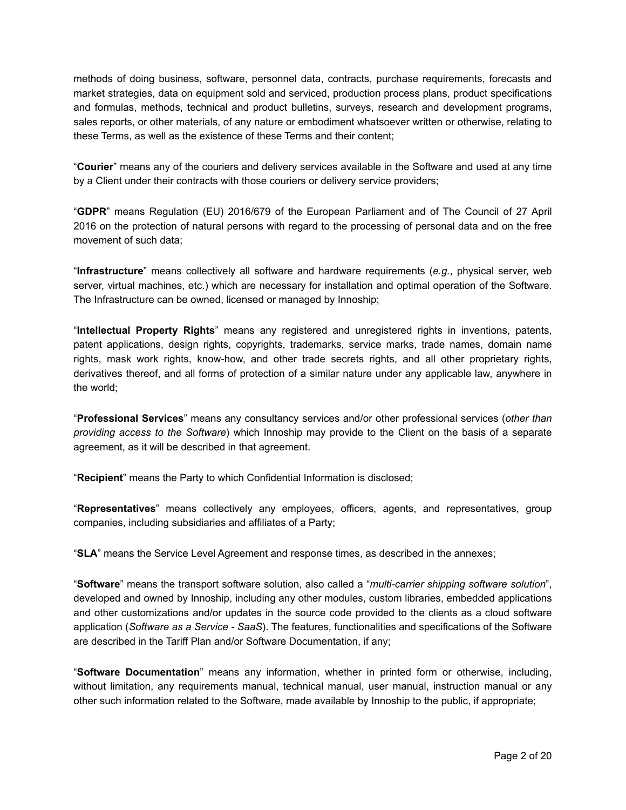methods of doing business, software, personnel data, contracts, purchase requirements, forecasts and market strategies, data on equipment sold and serviced, production process plans, product specifications and formulas, methods, technical and product bulletins, surveys, research and development programs, sales reports, or other materials, of any nature or embodiment whatsoever written or otherwise, relating to these Terms, as well as the existence of these Terms and their content;

"**Courier**" means any of the couriers and delivery services available in the Software and used at any time by a Client under their contracts with those couriers or delivery service providers;

"**GDPR**" means Regulation (EU) 2016/679 of the European Parliament and of The Council of 27 April 2016 on the protection of natural persons with regard to the processing of personal data and on the free movement of such data;

"**Infrastructure**" means collectively all software and hardware requirements (*e.g.*, physical server, web server, virtual machines, etc.) which are necessary for installation and optimal operation of the Software. The Infrastructure can be owned, licensed or managed by Innoship;

"**Intellectual Property Rights**" means any registered and unregistered rights in inventions, patents, patent applications, design rights, copyrights, trademarks, service marks, trade names, domain name rights, mask work rights, know-how, and other trade secrets rights, and all other proprietary rights, derivatives thereof, and all forms of protection of a similar nature under any applicable law, anywhere in the world;

"**Professional Services**" means any consultancy services and/or other professional services (*other than providing access to the Software*) which Innoship may provide to the Client on the basis of a separate agreement, as it will be described in that agreement.

"**Recipient**" means the Party to which Confidential Information is disclosed;

"**Representatives**" means collectively any employees, officers, agents, and representatives, group companies, including subsidiaries and affiliates of a Party;

"**SLA**" means the Service Level Agreement and response times, as described in the annexes;

"**Software**" means the transport software solution, also called a "*multi-carrier shipping software solution*", developed and owned by Innoship, including any other modules, custom libraries, embedded applications and other customizations and/or updates in the source code provided to the clients as a cloud software application (*Software as a Service - SaaS*). The features, functionalities and specifications of the Software are described in the Tariff Plan and/or Software Documentation, if any;

"**Software Documentation**" means any information, whether in printed form or otherwise, including, without limitation, any requirements manual, technical manual, user manual, instruction manual or any other such information related to the Software, made available by Innoship to the public, if appropriate;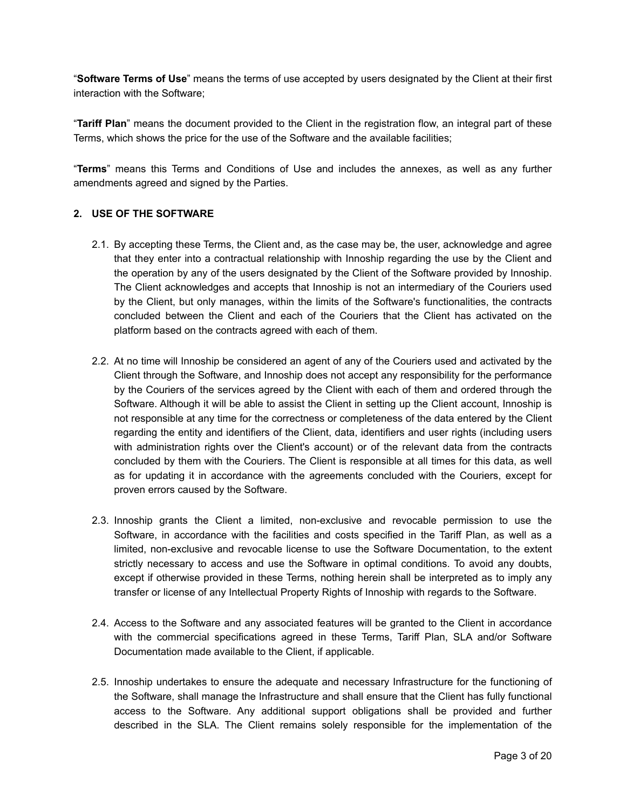"**Software Terms of Use**" means the terms of use accepted by users designated by the Client at their first interaction with the Software;

"**Tariff Plan**" means the document provided to the Client in the registration flow, an integral part of these Terms, which shows the price for the use of the Software and the available facilities;

"**Terms**" means this Terms and Conditions of Use and includes the annexes, as well as any further amendments agreed and signed by the Parties.

#### **2. USE OF THE SOFTWARE**

- 2.1. By accepting these Terms, the Client and, as the case may be, the user, acknowledge and agree that they enter into a contractual relationship with Innoship regarding the use by the Client and the operation by any of the users designated by the Client of the Software provided by Innoship. The Client acknowledges and accepts that Innoship is not an intermediary of the Couriers used by the Client, but only manages, within the limits of the Software's functionalities, the contracts concluded between the Client and each of the Couriers that the Client has activated on the platform based on the contracts agreed with each of them.
- 2.2. At no time will Innoship be considered an agent of any of the Couriers used and activated by the Client through the Software, and Innoship does not accept any responsibility for the performance by the Couriers of the services agreed by the Client with each of them and ordered through the Software. Although it will be able to assist the Client in setting up the Client account, Innoship is not responsible at any time for the correctness or completeness of the data entered by the Client regarding the entity and identifiers of the Client, data, identifiers and user rights (including users with administration rights over the Client's account) or of the relevant data from the contracts concluded by them with the Couriers. The Client is responsible at all times for this data, as well as for updating it in accordance with the agreements concluded with the Couriers, except for proven errors caused by the Software.
- 2.3. Innoship grants the Client a limited, non-exclusive and revocable permission to use the Software, in accordance with the facilities and costs specified in the Tariff Plan, as well as a limited, non-exclusive and revocable license to use the Software Documentation, to the extent strictly necessary to access and use the Software in optimal conditions. To avoid any doubts, except if otherwise provided in these Terms, nothing herein shall be interpreted as to imply any transfer or license of any Intellectual Property Rights of Innoship with regards to the Software.
- 2.4. Access to the Software and any associated features will be granted to the Client in accordance with the commercial specifications agreed in these Terms, Tariff Plan, SLA and/or Software Documentation made available to the Client, if applicable.
- 2.5. Innoship undertakes to ensure the adequate and necessary Infrastructure for the functioning of the Software, shall manage the Infrastructure and shall ensure that the Client has fully functional access to the Software. Any additional support obligations shall be provided and further described in the SLA. The Client remains solely responsible for the implementation of the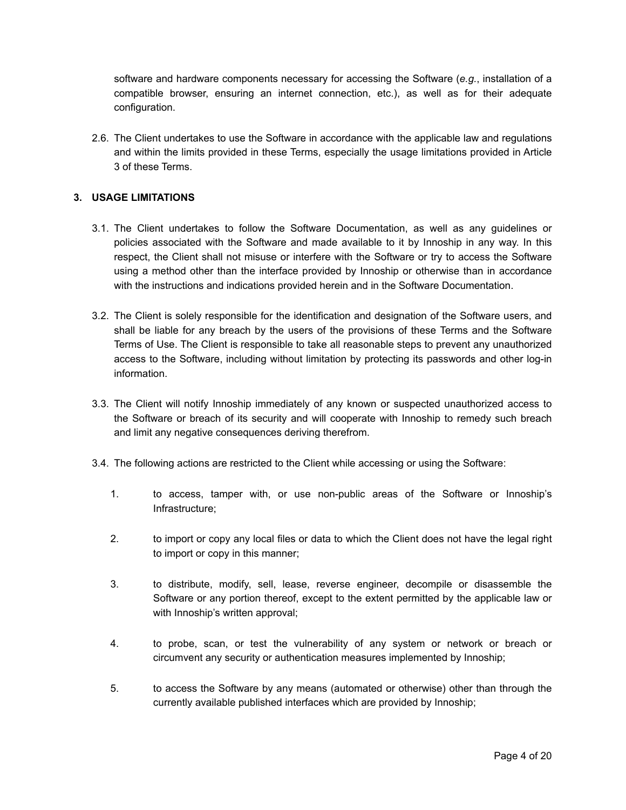software and hardware components necessary for accessing the Software (*e.g.*, installation of a compatible browser, ensuring an internet connection, etc.), as well as for their adequate configuration.

2.6. The Client undertakes to use the Software in accordance with the applicable law and regulations and within the limits provided in these Terms, especially the usage limitations provided in Article 3 of these Terms.

## **3. USAGE LIMITATIONS**

- 3.1. The Client undertakes to follow the Software Documentation, as well as any guidelines or policies associated with the Software and made available to it by Innoship in any way. In this respect, the Client shall not misuse or interfere with the Software or try to access the Software using a method other than the interface provided by Innoship or otherwise than in accordance with the instructions and indications provided herein and in the Software Documentation.
- 3.2. The Client is solely responsible for the identification and designation of the Software users, and shall be liable for any breach by the users of the provisions of these Terms and the Software Terms of Use. The Client is responsible to take all reasonable steps to prevent any unauthorized access to the Software, including without limitation by protecting its passwords and other log-in information.
- 3.3. The Client will notify Innoship immediately of any known or suspected unauthorized access to the Software or breach of its security and will cooperate with Innoship to remedy such breach and limit any negative consequences deriving therefrom.
- 3.4. The following actions are restricted to the Client while accessing or using the Software:
	- 1. to access, tamper with, or use non-public areas of the Software or Innoship's Infrastructure;
	- 2. to import or copy any local files or data to which the Client does not have the legal right to import or copy in this manner;
	- 3. to distribute, modify, sell, lease, reverse engineer, decompile or disassemble the Software or any portion thereof, except to the extent permitted by the applicable law or with Innoship's written approval;
	- 4. to probe, scan, or test the vulnerability of any system or network or breach or circumvent any security or authentication measures implemented by Innoship;
	- 5. to access the Software by any means (automated or otherwise) other than through the currently available published interfaces which are provided by Innoship;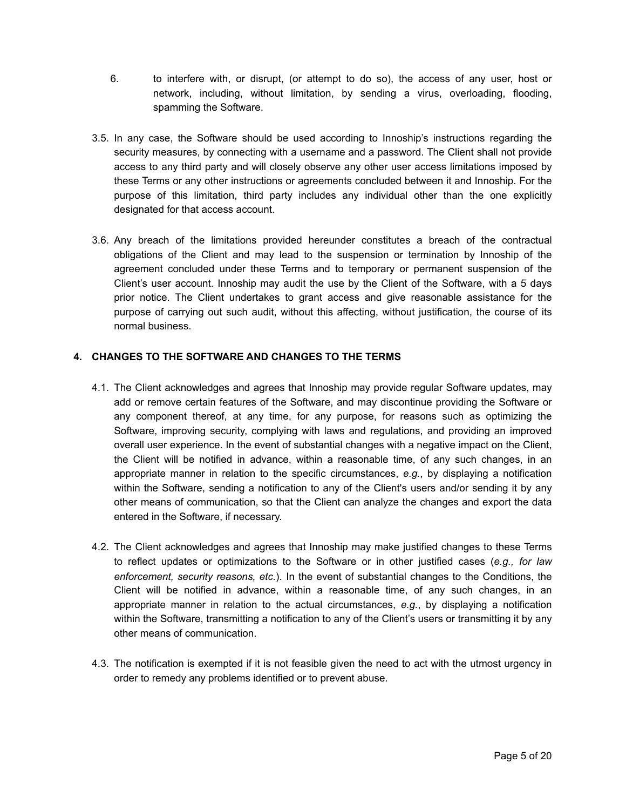- 6. to interfere with, or disrupt, (or attempt to do so), the access of any user, host or network, including, without limitation, by sending a virus, overloading, flooding, spamming the Software.
- 3.5. In any case, the Software should be used according to Innoship's instructions regarding the security measures, by connecting with a username and a password. The Client shall not provide access to any third party and will closely observe any other user access limitations imposed by these Terms or any other instructions or agreements concluded between it and Innoship. For the purpose of this limitation, third party includes any individual other than the one explicitly designated for that access account.
- 3.6. Any breach of the limitations provided hereunder constitutes a breach of the contractual obligations of the Client and may lead to the suspension or termination by Innoship of the agreement concluded under these Terms and to temporary or permanent suspension of the Client's user account. Innoship may audit the use by the Client of the Software, with a 5 days prior notice. The Client undertakes to grant access and give reasonable assistance for the purpose of carrying out such audit, without this affecting, without justification, the course of its normal business.

## <span id="page-4-0"></span>**4. CHANGES TO THE SOFTWARE AND CHANGES TO THE TERMS**

- 4.1. The Client acknowledges and agrees that Innoship may provide regular Software updates, may add or remove certain features of the Software, and may discontinue providing the Software or any component thereof, at any time, for any purpose, for reasons such as optimizing the Software, improving security, complying with laws and regulations, and providing an improved overall user experience. In the event of substantial changes with a negative impact on the Client, the Client will be notified in advance, within a reasonable time, of any such changes, in an appropriate manner in relation to the specific circumstances, *e.g.*, by displaying a notification within the Software, sending a notification to any of the Client's users and/or sending it by any other means of communication, so that the Client can analyze the changes and export the data entered in the Software, if necessary.
- 4.2. The Client acknowledges and agrees that Innoship may make justified changes to these Terms to reflect updates or optimizations to the Software or in other justified cases (*e.g., for law enforcement, security reasons, etc.*). In the event of substantial changes to the Conditions, the Client will be notified in advance, within a reasonable time, of any such changes, in an appropriate manner in relation to the actual circumstances, *e.g.*, by displaying a notification within the Software, transmitting a notification to any of the Client's users or transmitting it by any other means of communication.
- 4.3. The notification is exempted if it is not feasible given the need to act with the utmost urgency in order to remedy any problems identified or to prevent abuse.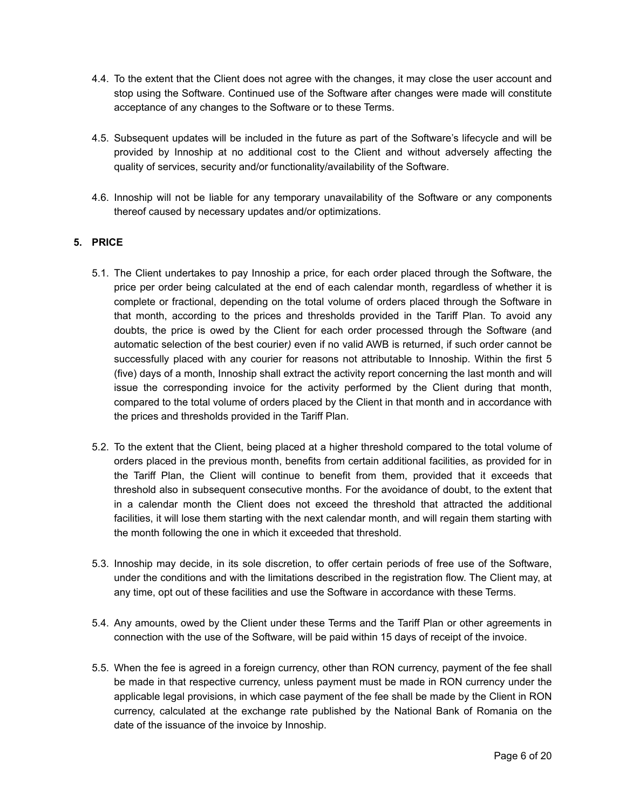- 4.4. To the extent that the Client does not agree with the changes, it may close the user account and stop using the Software. Continued use of the Software after changes were made will constitute acceptance of any changes to the Software or to these Terms.
- 4.5. Subsequent updates will be included in the future as part of the Software's lifecycle and will be provided by Innoship at no additional cost to the Client and without adversely affecting the quality of services, security and/or functionality/availability of the Software.
- 4.6. Innoship will not be liable for any temporary unavailability of the Software or any components thereof caused by necessary updates and/or optimizations.

# **5. PRICE**

- 5.1. The Client undertakes to pay Innoship a price, for each order placed through the Software, the price per order being calculated at the end of each calendar month, regardless of whether it is complete or fractional, depending on the total volume of orders placed through the Software in that month, according to the prices and thresholds provided in the Tariff Plan. To avoid any doubts, the price is owed by the Client for each order processed through the Software (and automatic selection of the best courier*)* even if no valid AWB is returned, if such order cannot be successfully placed with any courier for reasons not attributable to Innoship. Within the first 5 (five) days of a month, Innoship shall extract the activity report concerning the last month and will issue the corresponding invoice for the activity performed by the Client during that month, compared to the total volume of orders placed by the Client in that month and in accordance with the prices and thresholds provided in the Tariff Plan.
- 5.2. To the extent that the Client, being placed at a higher threshold compared to the total volume of orders placed in the previous month, benefits from certain additional facilities, as provided for in the Tariff Plan, the Client will continue to benefit from them, provided that it exceeds that threshold also in subsequent consecutive months. For the avoidance of doubt, to the extent that in a calendar month the Client does not exceed the threshold that attracted the additional facilities, it will lose them starting with the next calendar month, and will regain them starting with the month following the one in which it exceeded that threshold.
- 5.3. Innoship may decide, in its sole discretion, to offer certain periods of free use of the Software, under the conditions and with the limitations described in the registration flow. The Client may, at any time, opt out of these facilities and use the Software in accordance with these Terms.
- 5.4. Any amounts, owed by the Client under these Terms and the Tariff Plan or other agreements in connection with the use of the Software, will be paid within 15 days of receipt of the invoice.
- 5.5. When the fee is agreed in a foreign currency, other than RON currency, payment of the fee shall be made in that respective currency, unless payment must be made in RON currency under the applicable legal provisions, in which case payment of the fee shall be made by the Client in RON currency, calculated at the exchange rate published by the National Bank of Romania on the date of the issuance of the invoice by Innoship.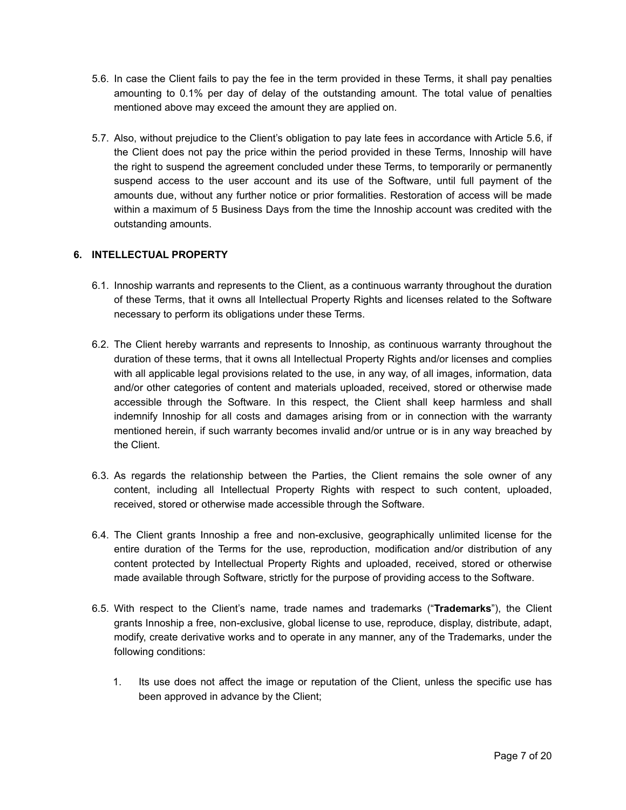- 5.6. In case the Client fails to pay the fee in the term provided in these Terms, it shall pay penalties amounting to 0.1% per day of delay of the outstanding amount. The total value of penalties mentioned above may exceed the amount they are applied on.
- 5.7. Also, without prejudice to the Client's obligation to pay late fees in accordance with Article 5.6, if the Client does not pay the price within the period provided in these Terms, Innoship will have the right to suspend the agreement concluded under these Terms, to temporarily or permanently suspend access to the user account and its use of the Software, until full payment of the amounts due, without any further notice or prior formalities. Restoration of access will be made within a maximum of 5 Business Days from the time the Innoship account was credited with the outstanding amounts.

### **6. INTELLECTUAL PROPERTY**

- 6.1. Innoship warrants and represents to the Client, as a continuous warranty throughout the duration of these Terms, that it owns all Intellectual Property Rights and licenses related to the Software necessary to perform its obligations under these Terms.
- 6.2. The Client hereby warrants and represents to Innoship, as continuous warranty throughout the duration of these terms, that it owns all Intellectual Property Rights and/or licenses and complies with all applicable legal provisions related to the use, in any way, of all images, information, data and/or other categories of content and materials uploaded, received, stored or otherwise made accessible through the Software. In this respect, the Client shall keep harmless and shall indemnify Innoship for all costs and damages arising from or in connection with the warranty mentioned herein, if such warranty becomes invalid and/or untrue or is in any way breached by the Client.
- 6.3. As regards the relationship between the Parties, the Client remains the sole owner of any content, including all Intellectual Property Rights with respect to such content, uploaded, received, stored or otherwise made accessible through the Software.
- 6.4. The Client grants Innoship a free and non-exclusive, geographically unlimited license for the entire duration of the Terms for the use, reproduction, modification and/or distribution of any content protected by Intellectual Property Rights and uploaded, received, stored or otherwise made available through Software, strictly for the purpose of providing access to the Software.
- 6.5. With respect to the Client's name, trade names and trademarks ("**Trademarks**"), the Client grants Innoship a free, non-exclusive, global license to use, reproduce, display, distribute, adapt, modify, create derivative works and to operate in any manner, any of the Trademarks, under the following conditions:
	- 1. Its use does not affect the image or reputation of the Client, unless the specific use has been approved in advance by the Client;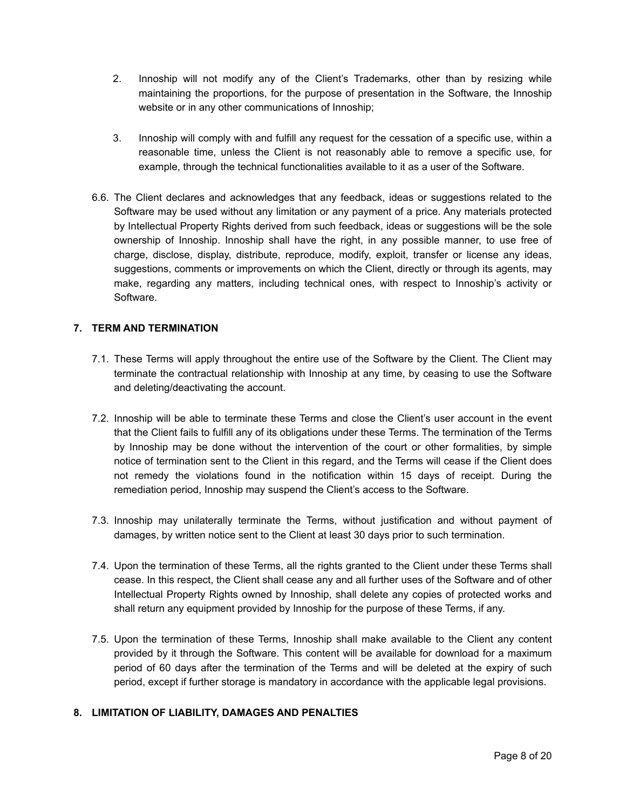- 2. Innoship will not modify any of the Client's Trademarks, other than by resizing while maintaining the proportions, for the purpose of presentation in the Software, the Innoship website or in any other communications of Innoship;
- 3. Innoship will comply with and fulfill any request for the cessation of a specific use, within a reasonable time, unless the Client is not reasonably able to remove a specific use, for example, through the technical functionalities available to it as a user of the Software.
- 6.6. The Client declares and acknowledges that any feedback, ideas or suggestions related to the Software may be used without any limitation or any payment of a price. Any materials protected by Intellectual Property Rights derived from such feedback, ideas or suggestions will be the sole ownership of Innoship. Innoship shall have the right, in any possible manner, to use free of charge, disclose, display, distribute, reproduce, modify, exploit, transfer or license any ideas, suggestions, comments or improvements on which the Client, directly or through its agents, may make, regarding any matters, including technical ones, with respect to Innoship's activity or Software.

## **7. TERM AND TERMINATION**

- 7.1. These Terms will apply throughout the entire use of the Software by the Client. The Client may terminate the contractual relationship with Innoship at any time, by ceasing to use the Software and deleting/deactivating the account.
- 7.2. Innoship will be able to terminate these Terms and close the Client's user account in the event that the Client fails to fulfill any of its obligations under these Terms. The termination of the Terms by Innoship may be done without the intervention of the court or other formalities, by simple notice of termination sent to the Client in this regard, and the Terms will cease if the Client does not remedy the violations found in the notification within 15 days of receipt. During the remediation period, Innoship may suspend the Client's access to the Software.
- 7.3. Innoship may unilaterally terminate the Terms, without justification and without payment of damages, by written notice sent to the Client at least 30 days prior to such termination.
- 7.4. Upon the termination of these Terms, all the rights granted to the Client under these Terms shall cease. In this respect, the Client shall cease any and all further uses of the Software and of other Intellectual Property Rights owned by Innoship, shall delete any copies of protected works and shall return any equipment provided by Innoship for the purpose of these Terms, if any.
- 7.5. Upon the termination of these Terms, Innoship shall make available to the Client any content provided by it through the Software. This content will be available for download for a maximum period of 60 days after the termination of the Terms and will be deleted at the expiry of such period, except if further storage is mandatory in accordance with the applicable legal provisions.

### **8. LIMITATION OF LIABILITY, DAMAGES AND PENALTIES**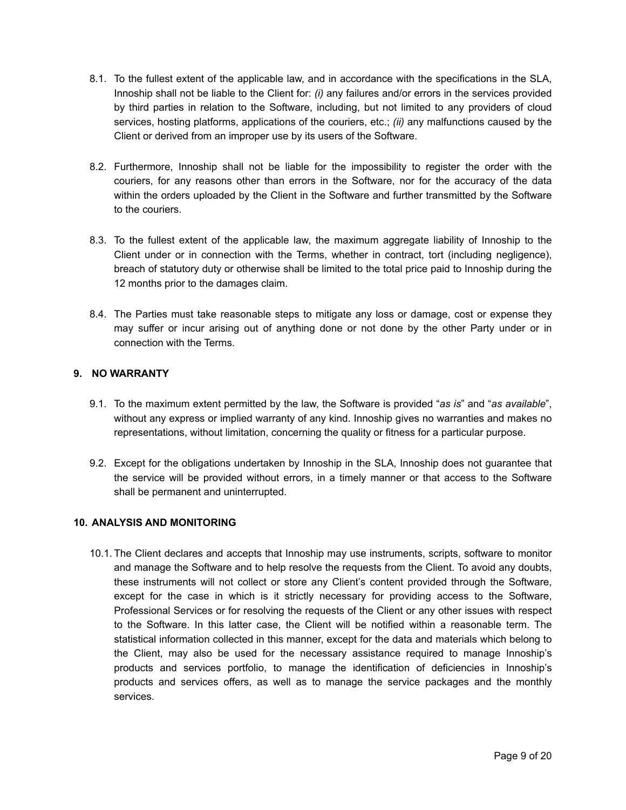- 8.1. To the fullest extent of the applicable law, and in accordance with the specifications in the SLA, Innoship shall not be liable to the Client for: *(i)* any failures and/or errors in the services provided by third parties in relation to the Software, including, but not limited to any providers of cloud services, hosting platforms, applications of the couriers, etc.; *(ii)* any malfunctions caused by the Client or derived from an improper use by its users of the Software.
- 8.2. Furthermore, Innoship shall not be liable for the impossibility to register the order with the couriers, for any reasons other than errors in the Software, nor for the accuracy of the data within the orders uploaded by the Client in the Software and further transmitted by the Software to the couriers.
- 8.3. To the fullest extent of the applicable law, the maximum aggregate liability of Innoship to the Client under or in connection with the Terms, whether in contract, tort (including negligence), breach of statutory duty or otherwise shall be limited to the total price paid to Innoship during the 12 months prior to the damages claim.
- 8.4. The Parties must take reasonable steps to mitigate any loss or damage, cost or expense they may suffer or incur arising out of anything done or not done by the other Party under or in connection with the Terms.

### **9. NO WARRANTY**

- 9.1. To the maximum extent permitted by the law, the Software is provided "*as is*" and "*as available*", without any express or implied warranty of any kind. Innoship gives no warranties and makes no representations, without limitation, concerning the quality or fitness for a particular purpose.
- 9.2. Except for the obligations undertaken by Innoship in the SLA, Innoship does not guarantee that the service will be provided without errors, in a timely manner or that access to the Software shall be permanent and uninterrupted.

### **10. ANALYSIS AND MONITORING**

10.1. The Client declares and accepts that Innoship may use instruments, scripts, software to monitor and manage the Software and to help resolve the requests from the Client. To avoid any doubts, these instruments will not collect or store any Client's content provided through the Software, except for the case in which is it strictly necessary for providing access to the Software, Professional Services or for resolving the requests of the Client or any other issues with respect to the Software. In this latter case, the Client will be notified within a reasonable term. The statistical information collected in this manner, except for the data and materials which belong to the Client, may also be used for the necessary assistance required to manage Innoship's products and services portfolio, to manage the identification of deficiencies in Innoship's products and services offers, as well as to manage the service packages and the monthly services.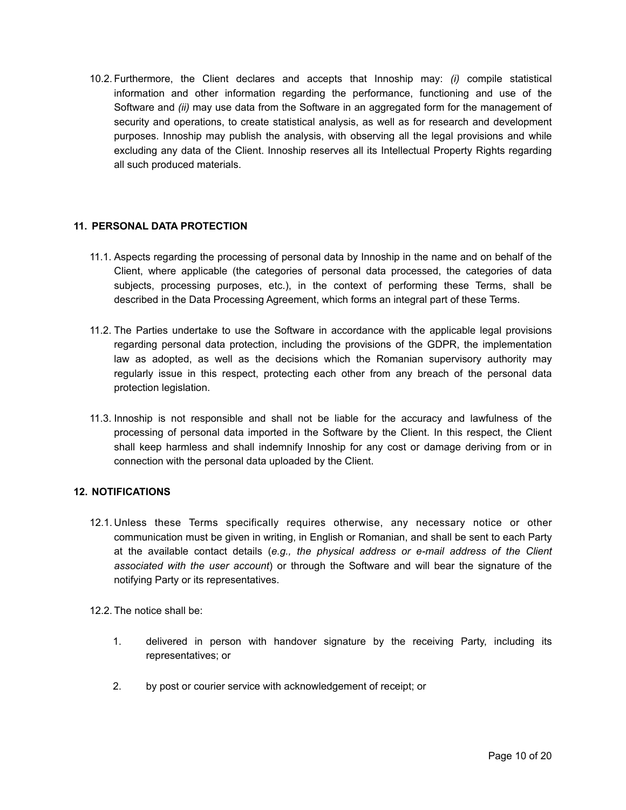10.2. Furthermore, the Client declares and accepts that Innoship may: *(i)* compile statistical information and other information regarding the performance, functioning and use of the Software and *(ii)* may use data from the Software in an aggregated form for the management of security and operations, to create statistical analysis, as well as for research and development purposes. Innoship may publish the analysis, with observing all the legal provisions and while excluding any data of the Client. Innoship reserves all its Intellectual Property Rights regarding all such produced materials.

### **11. PERSONAL DATA PROTECTION**

- 11.1. Aspects regarding the processing of personal data by Innoship in the name and on behalf of the Client, where applicable (the categories of personal data processed, the categories of data subjects, processing purposes, etc.), in the context of performing these Terms, shall be described in the Data Processing Agreement, which forms an integral part of these Terms.
- 11.2. The Parties undertake to use the Software in accordance with the applicable legal provisions regarding personal data protection, including the provisions of the GDPR, the implementation law as adopted, as well as the decisions which the Romanian supervisory authority may regularly issue in this respect, protecting each other from any breach of the personal data protection legislation.
- 11.3. Innoship is not responsible and shall not be liable for the accuracy and lawfulness of the processing of personal data imported in the Software by the Client. In this respect, the Client shall keep harmless and shall indemnify Innoship for any cost or damage deriving from or in connection with the personal data uploaded by the Client.

### **12. NOTIFICATIONS**

- 12.1. Unless these Terms specifically requires otherwise, any necessary notice or other communication must be given in writing, in English or Romanian, and shall be sent to each Party at the available contact details (*e.g., the physical address or e-mail address of the Client associated with the user account*) or through the Software and will bear the signature of the notifying Party or its representatives.
- 12.2. The notice shall be:
	- 1. delivered in person with handover signature by the receiving Party, including its representatives; or
	- 2. by post or courier service with acknowledgement of receipt; or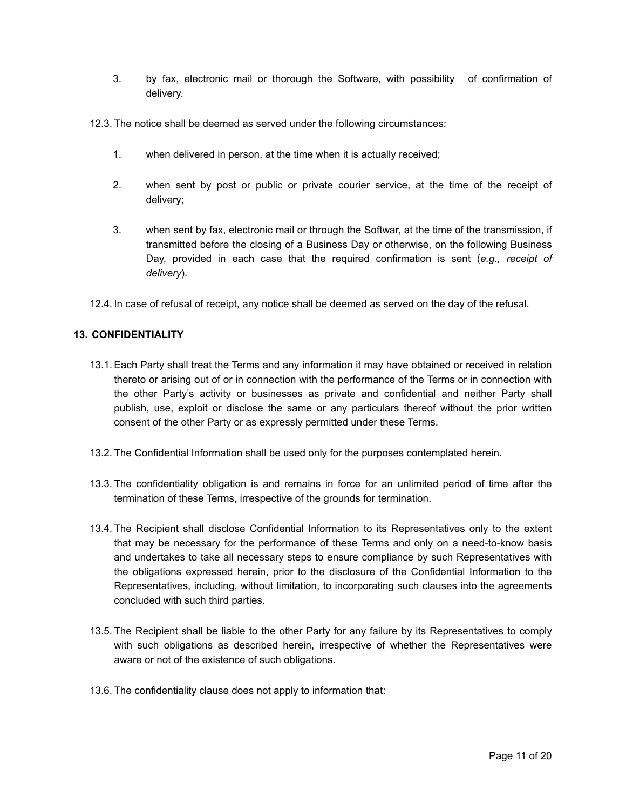- 3. by fax, electronic mail or thorough the Software, with possibility of confirmation of delivery.
- 12.3. The notice shall be deemed as served under the following circumstances:
	- 1. when delivered in person, at the time when it is actually received;
	- 2. when sent by post or public or private courier service, at the time of the receipt of delivery;
	- 3. when sent by fax, electronic mail or through the Softwar, at the time of the transmission, if transmitted before the closing of a Business Day or otherwise, on the following Business Day, provided in each case that the required confirmation is sent (*e.g., receipt of delivery*).
- 12.4. In case of refusal of receipt, any notice shall be deemed as served on the day of the refusal.

### **13. CONFIDENTIALITY**

- 13.1. Each Party shall treat the Terms and any information it may have obtained or received in relation thereto or arising out of or in connection with the performance of the Terms or in connection with the other Party's activity or businesses as private and confidential and neither Party shall publish, use, exploit or disclose the same or any particulars thereof without the prior written consent of the other Party or as expressly permitted under these Terms.
- 13.2. The Confidential Information shall be used only for the purposes contemplated herein.
- 13.3. The confidentiality obligation is and remains in force for an unlimited period of time after the termination of these Terms, irrespective of the grounds for termination.
- <span id="page-10-0"></span>13.4. The Recipient shall disclose Confidential Information to its Representatives only to the extent that may be necessary for the performance of these Terms and only on a need-to-know basis and undertakes to take all necessary steps to ensure compliance by such Representatives with the obligations expressed herein, prior to the disclosure of the Confidential Information to the Representatives, including, without limitation, to incorporating such clauses into the agreements concluded with such third parties.
- <span id="page-10-1"></span>13.5. The Recipient shall be liable to the other Party for any failure by its Representatives to comply with such obligations as described herein, irrespective of whether the Representatives were aware or not of the existence of such obligations.
- 13.6. The confidentiality clause does not apply to information that: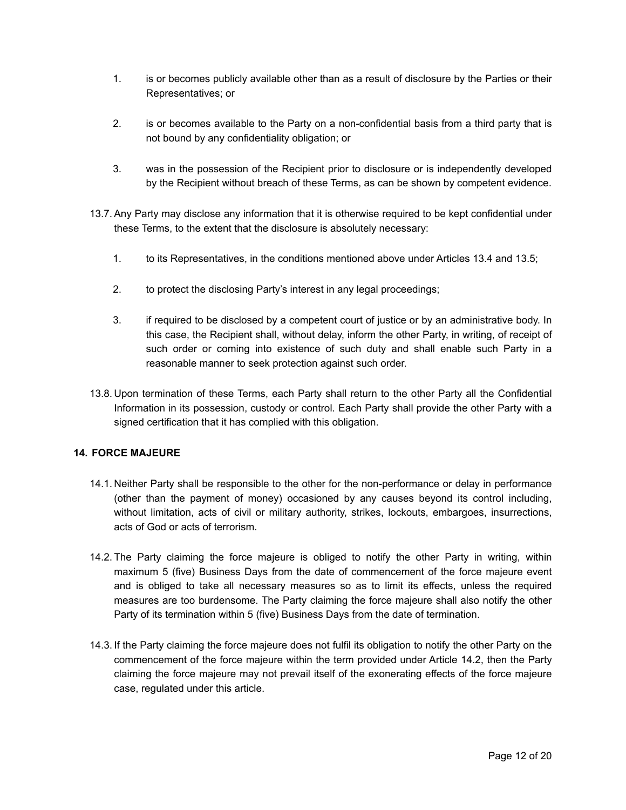- 1. is or becomes publicly available other than as a result of disclosure by the Parties or their Representatives; or
- 2. is or becomes available to the Party on a non-confidential basis from a third party that is not bound by any confidentiality obligation; or
- 3. was in the possession of the Recipient prior to disclosure or is independently developed by the Recipient without breach of these Terms, as can be shown by competent evidence.
- 13.7. Any Party may disclose any information that it is otherwise required to be kept confidential under these Terms, to the extent that the disclosure is absolutely necessary:
	- 1. to its Representatives, in the conditions mentioned above under Articles [13.4](#page-10-0) and [13.5;](#page-10-1)
	- 2. to protect the disclosing Party's interest in any legal proceedings;
	- 3. if required to be disclosed by a competent court of justice or by an administrative body. In this case, the Recipient shall, without delay, inform the other Party, in writing, of receipt of such order or coming into existence of such duty and shall enable such Party in a reasonable manner to seek protection against such order.
- 13.8. Upon termination of these Terms, each Party shall return to the other Party all the Confidential Information in its possession, custody or control. Each Party shall provide the other Party with a signed certification that it has complied with this obligation.

### **14. FORCE MAJEURE**

- 14.1. Neither Party shall be responsible to the other for the non-performance or delay in performance (other than the payment of money) occasioned by any causes beyond its control including, without limitation, acts of civil or military authority, strikes, lockouts, embargoes, insurrections, acts of God or acts of terrorism.
- <span id="page-11-0"></span>14.2. The Party claiming the force majeure is obliged to notify the other Party in writing, within maximum 5 (five) Business Days from the date of commencement of the force majeure event and is obliged to take all necessary measures so as to limit its effects, unless the required measures are too burdensome. The Party claiming the force majeure shall also notify the other Party of its termination within 5 (five) Business Days from the date of termination.
- 14.3. If the Party claiming the force majeure does not fulfil its obligation to notify the other Party on the commencement of the force majeure within the term provided under Article [14.2](#page-11-0), then the Party claiming the force majeure may not prevail itself of the exonerating effects of the force majeure case, regulated under this article.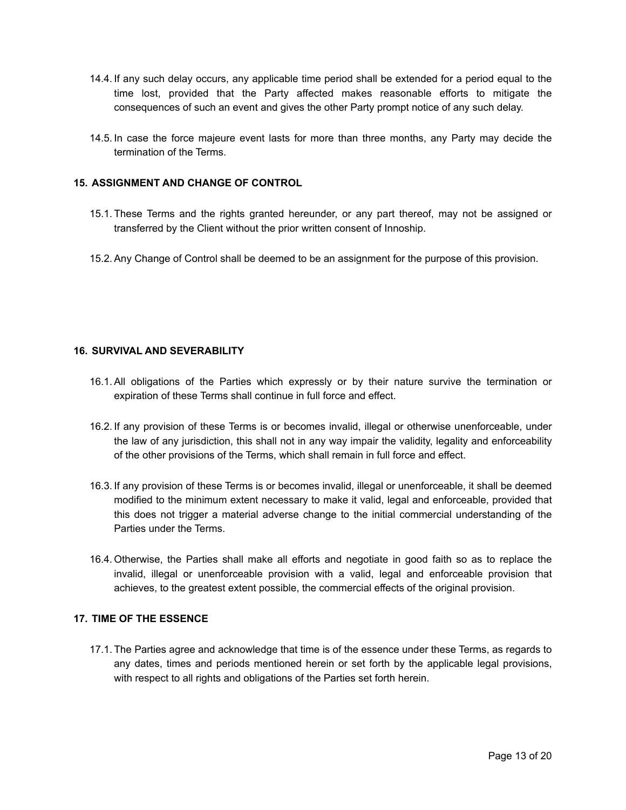- 14.4. If any such delay occurs, any applicable time period shall be extended for a period equal to the time lost, provided that the Party affected makes reasonable efforts to mitigate the consequences of such an event and gives the other Party prompt notice of any such delay.
- 14.5. In case the force majeure event lasts for more than three months, any Party may decide the termination of the Terms.

### **15. ASSIGNMENT AND CHANGE OF CONTROL**

- 15.1. These Terms and the rights granted hereunder, or any part thereof, may not be assigned or transferred by the Client without the prior written consent of Innoship.
- 15.2. Any Change of Control shall be deemed to be an assignment for the purpose of this provision.

#### **16. SURVIVAL AND SEVERABILITY**

- 16.1. All obligations of the Parties which expressly or by their nature survive the termination or expiration of these Terms shall continue in full force and effect.
- 16.2. If any provision of these Terms is or becomes invalid, illegal or otherwise unenforceable, under the law of any jurisdiction, this shall not in any way impair the validity, legality and enforceability of the other provisions of the Terms, which shall remain in full force and effect.
- 16.3. If any provision of these Terms is or becomes invalid, illegal or unenforceable, it shall be deemed modified to the minimum extent necessary to make it valid, legal and enforceable, provided that this does not trigger a material adverse change to the initial commercial understanding of the Parties under the Terms.
- 16.4. Otherwise, the Parties shall make all efforts and negotiate in good faith so as to replace the invalid, illegal or unenforceable provision with a valid, legal and enforceable provision that achieves, to the greatest extent possible, the commercial effects of the original provision.

#### **17. TIME OF THE ESSENCE**

17.1. The Parties agree and acknowledge that time is of the essence under these Terms, as regards to any dates, times and periods mentioned herein or set forth by the applicable legal provisions, with respect to all rights and obligations of the Parties set forth herein.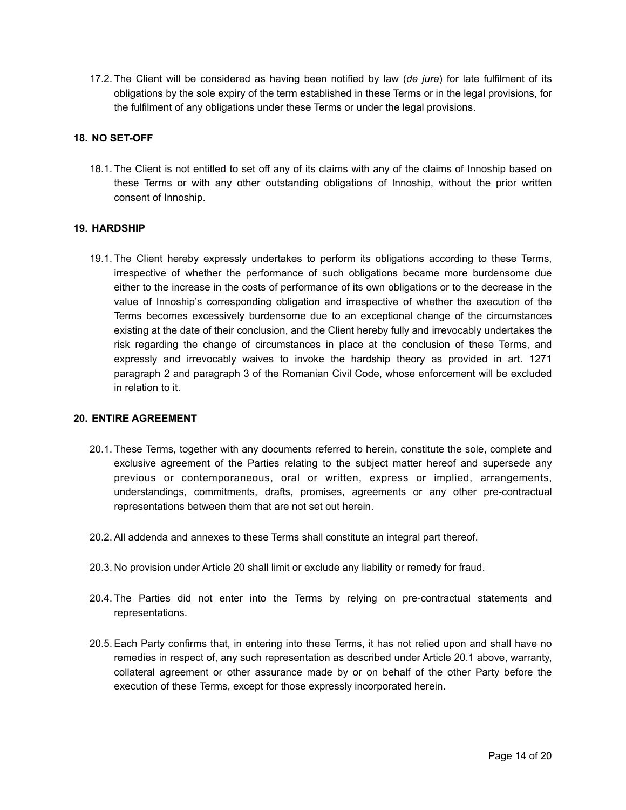17.2. The Client will be considered as having been notified by law (*de jure*) for late fulfilment of its obligations by the sole expiry of the term established in these Terms or in the legal provisions, for the fulfilment of any obligations under these Terms or under the legal provisions.

## **18. NO SET-OFF**

18.1. The Client is not entitled to set off any of its claims with any of the claims of Innoship based on these Terms or with any other outstanding obligations of Innoship, without the prior written consent of Innoship.

## **19. HARDSHIP**

19.1. The Client hereby expressly undertakes to perform its obligations according to these Terms, irrespective of whether the performance of such obligations became more burdensome due either to the increase in the costs of performance of its own obligations or to the decrease in the value of Innoship's corresponding obligation and irrespective of whether the execution of the Terms becomes excessively burdensome due to an exceptional change of the circumstances existing at the date of their conclusion, and the Client hereby fully and irrevocably undertakes the risk regarding the change of circumstances in place at the conclusion of these Terms, and expressly and irrevocably waives to invoke the hardship theory as provided in art. 1271 paragraph 2 and paragraph 3 of the Romanian Civil Code, whose enforcement will be excluded in relation to it.

### <span id="page-13-0"></span>**20. ENTIRE AGREEMENT**

- <span id="page-13-1"></span>20.1. These Terms, together with any documents referred to herein, constitute the sole, complete and exclusive agreement of the Parties relating to the subject matter hereof and supersede any previous or contemporaneous, oral or written, express or implied, arrangements, understandings, commitments, drafts, promises, agreements or any other pre-contractual representations between them that are not set out herein.
- 20.2. All addenda and annexes to these Terms shall constitute an integral part thereof.
- 20.3. No provision under Article [20](#page-13-0) shall limit or exclude any liability or remedy for fraud.
- 20.4. The Parties did not enter into the Terms by relying on pre-contractual statements and representations.
- 20.5. Each Party confirms that, in entering into these Terms, it has not relied upon and shall have no remedies in respect of, any such representation as described under Article [20.1](#page-13-1) above, warranty, collateral agreement or other assurance made by or on behalf of the other Party before the execution of these Terms, except for those expressly incorporated herein.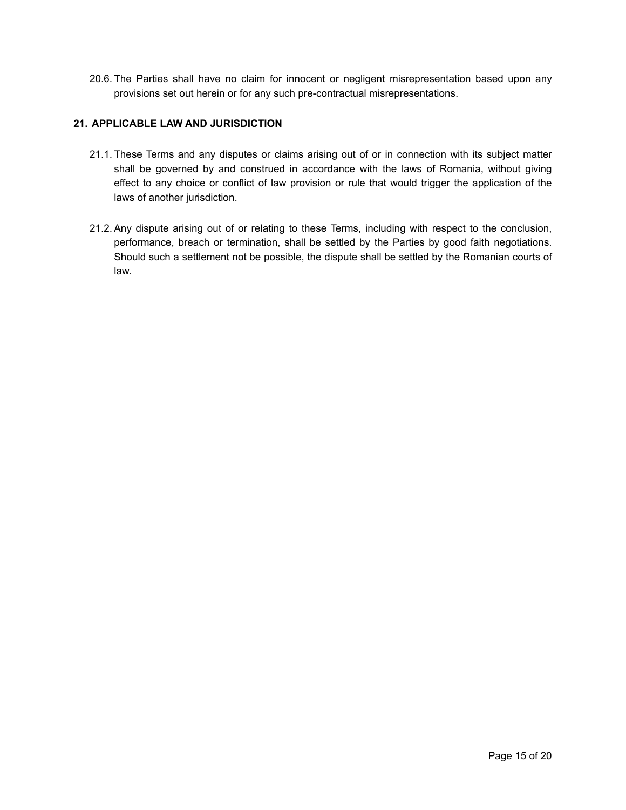20.6. The Parties shall have no claim for innocent or negligent misrepresentation based upon any provisions set out herein or for any such pre-contractual misrepresentations.

# **21. APPLICABLE LAW AND JURISDICTION**

- 21.1. These Terms and any disputes or claims arising out of or in connection with its subject matter shall be governed by and construed in accordance with the laws of Romania, without giving effect to any choice or conflict of law provision or rule that would trigger the application of the laws of another jurisdiction.
- 21.2. Any dispute arising out of or relating to these Terms, including with respect to the conclusion, performance, breach or termination, shall be settled by the Parties by good faith negotiations. Should such a settlement not be possible, the dispute shall be settled by the Romanian courts of law.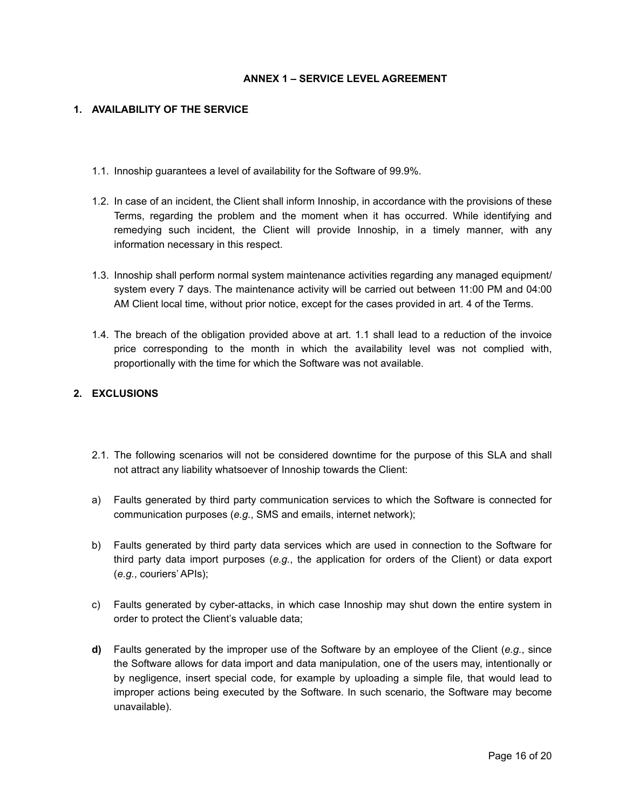### **ANNEX 1 – SERVICE LEVEL AGREEMENT**

#### **1. AVAILABILITY OF THE SERVICE**

- 1.1. Innoship guarantees a level of availability for the Software of 99.9%.
- 1.2. In case of an incident, the Client shall inform Innoship, in accordance with the provisions of these Terms, regarding the problem and the moment when it has occurred. While identifying and remedying such incident, the Client will provide Innoship, in a timely manner, with any information necessary in this respect.
- 1.3. Innoship shall perform normal system maintenance activities regarding any managed equipment/ system every 7 days. The maintenance activity will be carried out between 11:00 PM and 04:00 AM Client local time, without prior notice, except for the cases provided in art. [4](#page-4-0) of the Terms.
- 1.4. The breach of the obligation provided above at art. 1.1 shall lead to a reduction of the invoice price corresponding to the month in which the availability level was not complied with, proportionally with the time for which the Software was not available.

# **2. EXCLUSIONS**

- 2.1. The following scenarios will not be considered downtime for the purpose of this SLA and shall not attract any liability whatsoever of Innoship towards the Client:
- a) Faults generated by third party communication services to which the Software is connected for communication purposes (*e.g.*, SMS and emails, internet network);
- b) Faults generated by third party data services which are used in connection to the Software for third party data import purposes (*e.g.*, the application for orders of the Client) or data export (*e.g.*, couriers' APIs);
- c) Faults generated by cyber-attacks, in which case Innoship may shut down the entire system in order to protect the Client's valuable data;
- **d)** Faults generated by the improper use of the Software by an employee of the Client (*e.g.*, since the Software allows for data import and data manipulation, one of the users may, intentionally or by negligence, insert special code, for example by uploading a simple file, that would lead to improper actions being executed by the Software. In such scenario, the Software may become unavailable).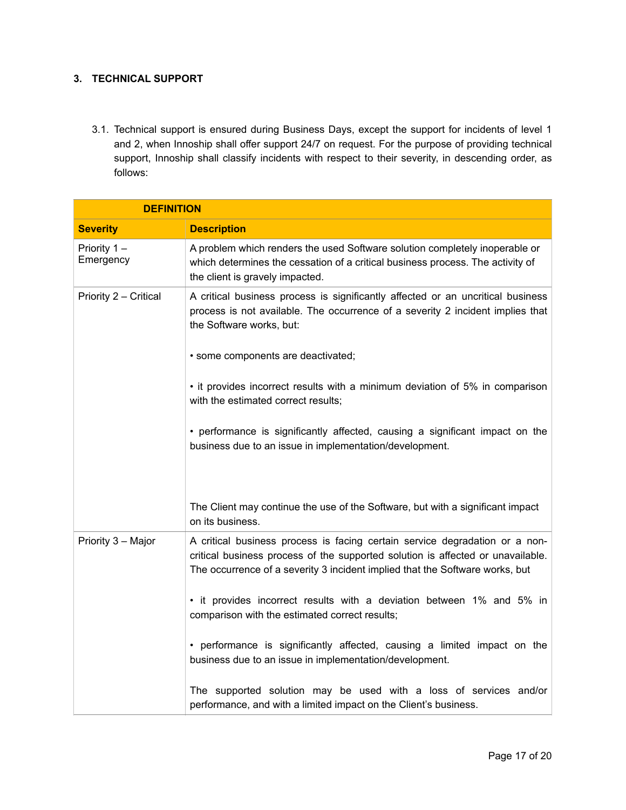# **3. TECHNICAL SUPPORT**

3.1. Technical support is ensured during Business Days, except the support for incidents of level 1 and 2, when Innoship shall offer support 24/7 on request. For the purpose of providing technical support, Innoship shall classify incidents with respect to their severity, in descending order, as follows:

| <b>DEFINITION</b>        |                                                                                                                                                                                                                                                |  |  |
|--------------------------|------------------------------------------------------------------------------------------------------------------------------------------------------------------------------------------------------------------------------------------------|--|--|
| <b>Severity</b>          | <b>Description</b>                                                                                                                                                                                                                             |  |  |
| Priority 1-<br>Emergency | A problem which renders the used Software solution completely inoperable or<br>which determines the cessation of a critical business process. The activity of<br>the client is gravely impacted.                                               |  |  |
| Priority 2 - Critical    | A critical business process is significantly affected or an uncritical business<br>process is not available. The occurrence of a severity 2 incident implies that<br>the Software works, but:                                                  |  |  |
|                          | • some components are deactivated;                                                                                                                                                                                                             |  |  |
|                          | • it provides incorrect results with a minimum deviation of 5% in comparison<br>with the estimated correct results;                                                                                                                            |  |  |
|                          | • performance is significantly affected, causing a significant impact on the<br>business due to an issue in implementation/development.                                                                                                        |  |  |
|                          | The Client may continue the use of the Software, but with a significant impact<br>on its business.                                                                                                                                             |  |  |
| Priority 3 - Major       | A critical business process is facing certain service degradation or a non-<br>critical business process of the supported solution is affected or unavailable.<br>The occurrence of a severity 3 incident implied that the Software works, but |  |  |
|                          | • it provides incorrect results with a deviation between 1% and 5% in<br>comparison with the estimated correct results;                                                                                                                        |  |  |
|                          | • performance is significantly affected, causing a limited impact on the<br>business due to an issue in implementation/development.                                                                                                            |  |  |
|                          | The supported solution may be used with a loss of services and/or<br>performance, and with a limited impact on the Client's business.                                                                                                          |  |  |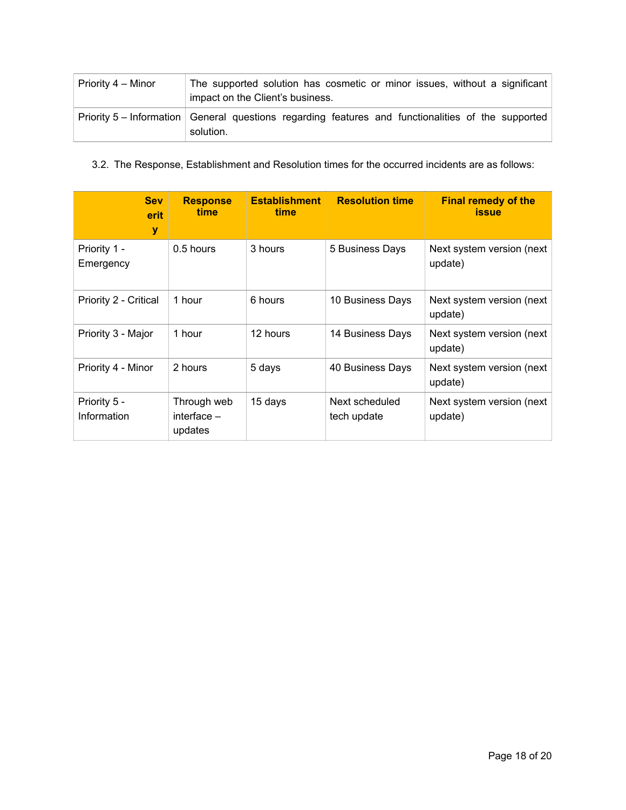| Priority 4 – Minor | The supported solution has cosmetic or minor issues, without a significant<br>impact on the Client's business.  |  |  |  |  |  |  |
|--------------------|-----------------------------------------------------------------------------------------------------------------|--|--|--|--|--|--|
|                    | Priority 5 – Information General questions regarding features and functionalities of the supported<br>solution. |  |  |  |  |  |  |

3.2. The Response, Establishment and Resolution times for the occurred incidents are as follows:

| <b>Sev</b><br>erit<br>y     | <b>Response</b><br>time                 | <b>Establishment</b><br>time | <b>Resolution time</b>        | <b>Final remedy of the</b><br><b>issue</b> |
|-----------------------------|-----------------------------------------|------------------------------|-------------------------------|--------------------------------------------|
| Priority 1 -<br>Emergency   | 0.5 hours                               | 3 hours                      | 5 Business Days               | Next system version (next)<br>update)      |
| Priority 2 - Critical       | 1 hour                                  | 6 hours                      | 10 Business Days              | Next system version (next)<br>update)      |
| Priority 3 - Major          | 1 hour                                  | 12 hours                     | 14 Business Days              | Next system version (next<br>update)       |
| Priority 4 - Minor          | 2 hours                                 | 5 days                       | 40 Business Days              | Next system version (next<br>update)       |
| Priority 5 -<br>Information | Through web<br>interface $-$<br>updates | 15 days                      | Next scheduled<br>tech update | Next system version (next)<br>update)      |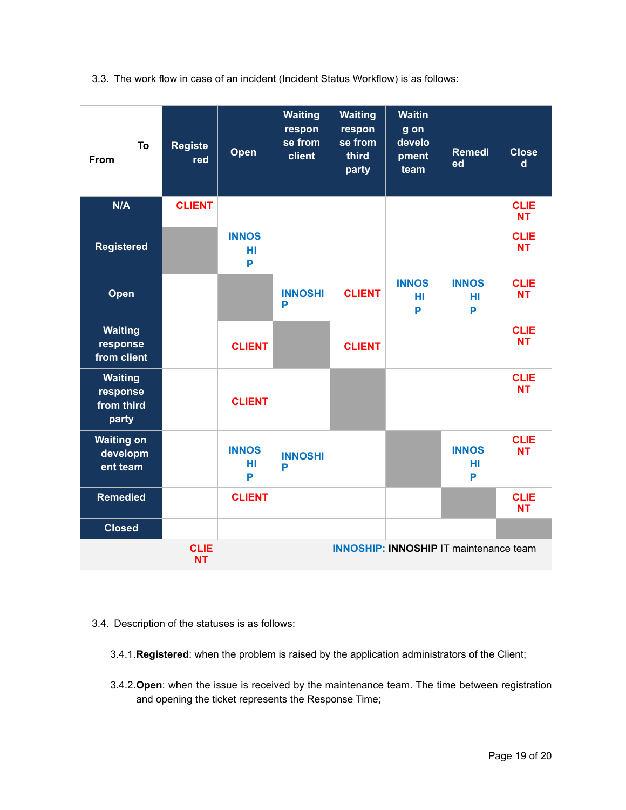3.3. The work flow in case of an incident (Incident Status Workflow) is as follows:

| To<br>From                                        | <b>Registe</b><br>red | Open                    | <b>Waiting</b><br>respon<br>se from<br>client | <b>Waiting</b><br>respon<br>se from<br>third<br>party | <b>Waitin</b><br>g on<br>develo<br>pment<br>team | <b>Remedi</b><br>ed     | <b>Close</b><br>$\mathsf{d}$ |
|---------------------------------------------------|-----------------------|-------------------------|-----------------------------------------------|-------------------------------------------------------|--------------------------------------------------|-------------------------|------------------------------|
| N/A                                               | <b>CLIENT</b>         |                         |                                               |                                                       |                                                  |                         | <b>CLIE</b><br><b>NT</b>     |
| <b>Registered</b>                                 |                       | <b>INNOS</b><br>HI<br>P |                                               |                                                       |                                                  |                         | <b>CLIE</b><br><b>NT</b>     |
| Open                                              |                       |                         | <b>INNOSHI</b><br>P                           | <b>CLIENT</b>                                         | <b>INNOS</b><br>HI<br>P                          | <b>INNOS</b><br>HI<br>P | <b>CLIE</b><br><b>NT</b>     |
| <b>Waiting</b><br>response<br>from client         |                       | <b>CLIENT</b>           |                                               | <b>CLIENT</b>                                         |                                                  |                         | <b>CLIE</b><br><b>NT</b>     |
| <b>Waiting</b><br>response<br>from third<br>party |                       | <b>CLIENT</b>           |                                               |                                                       |                                                  |                         | <b>CLIE</b><br><b>NT</b>     |
| <b>Waiting on</b><br>developm<br>ent team         |                       | <b>INNOS</b><br>HI<br>P | <b>INNOSHI</b><br>P                           |                                                       |                                                  | <b>INNOS</b><br>HI<br>P | <b>CLIE</b><br><b>NT</b>     |
| <b>Remedied</b>                                   |                       | <b>CLIENT</b>           |                                               |                                                       |                                                  |                         | <b>CLIE</b><br><b>NT</b>     |
| <b>Closed</b>                                     |                       |                         |                                               |                                                       |                                                  |                         |                              |
| <b>CLIE</b><br><b>NT</b>                          |                       |                         | <b>INNOSHIP: INNOSHIP IT maintenance team</b> |                                                       |                                                  |                         |                              |

- 3.4. Description of the statuses is as follows:
	- 3.4.1.**Registered**: when the problem is raised by the application administrators of the Client;
	- 3.4.2.**Open**: when the issue is received by the maintenance team. The time between registration and opening the ticket represents the Response Time;